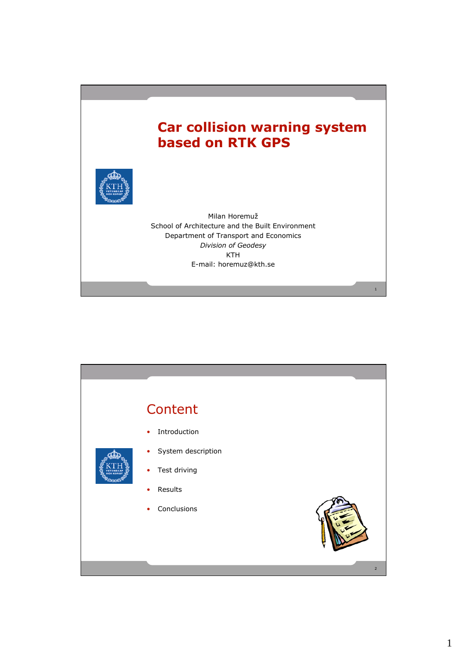## **Car collision warning system based on RTK GPS**

1



Milan Horemuž School of Architecture and the Built Environment Department of Transport and Economics *Division of Geodesy* KTH E-mail: horemuz@kth.se

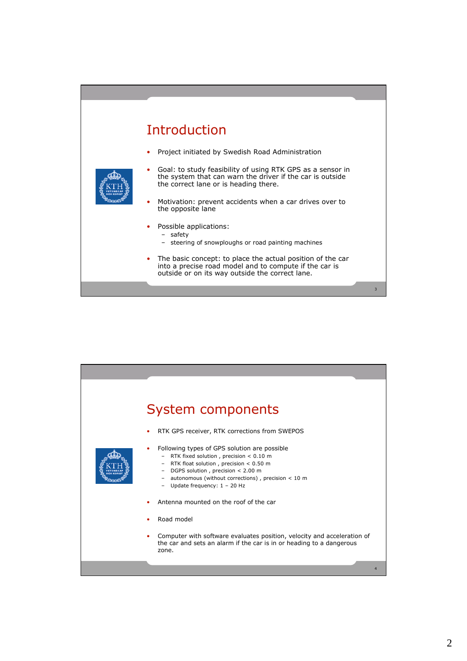## Introduction

• Project initiated by Swedish Road Administration



- Goal: to study feasibility of using RTK GPS as a sensor in the system that can warn the driver if the car is outside the correct lane or is heading there.
- Motivation: prevent accidents when a car drives over to the opposite lane
- Possible applications:
	- safety
	- steering of snowploughs or road painting machines
- The basic concept: to place the actual position of the car into a precise road model and to compute if the car is outside or on its way outside the correct lane.

3

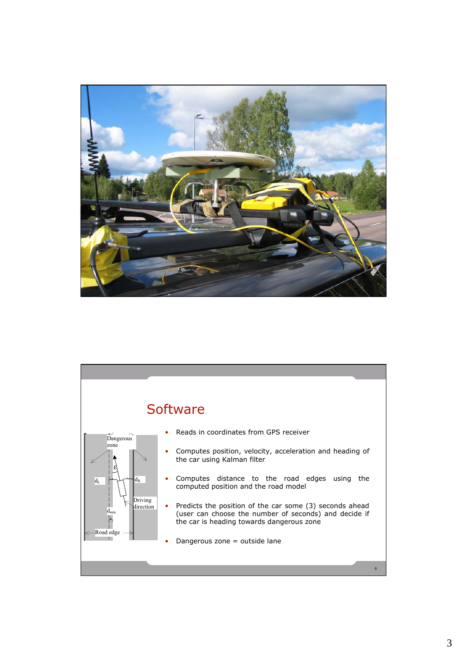

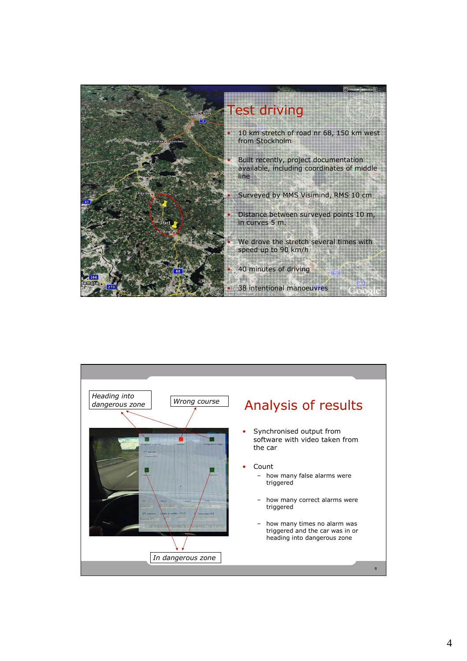

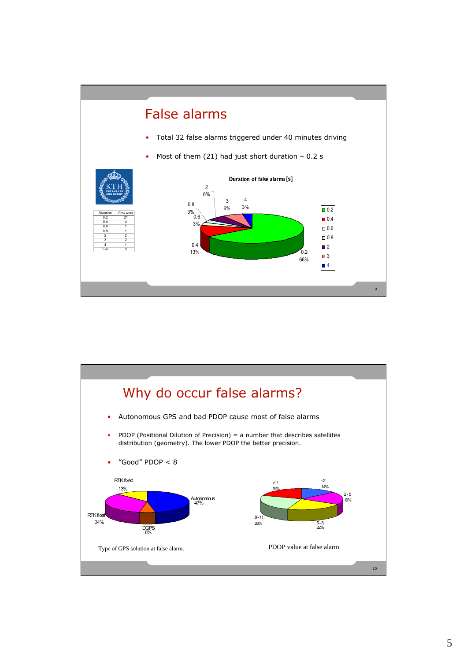![](_page_4_Figure_0.jpeg)

![](_page_4_Figure_1.jpeg)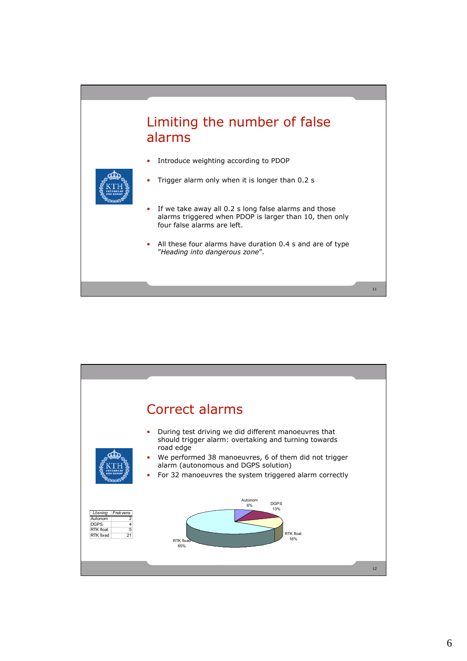## Limiting the number of false alarms

• Trigger alarm only when it is longer than 0.2 s

- 
- Introduce weighting according to PDOP
	- If we take away all 0.2 s long false alarms and those alarms triggered when PDOP is larger than 10, then only four false alarms are left.
	- All these four alarms have duration 0.4 s and are of type "*Heading into dangerous zone*".

11

![](_page_5_Figure_5.jpeg)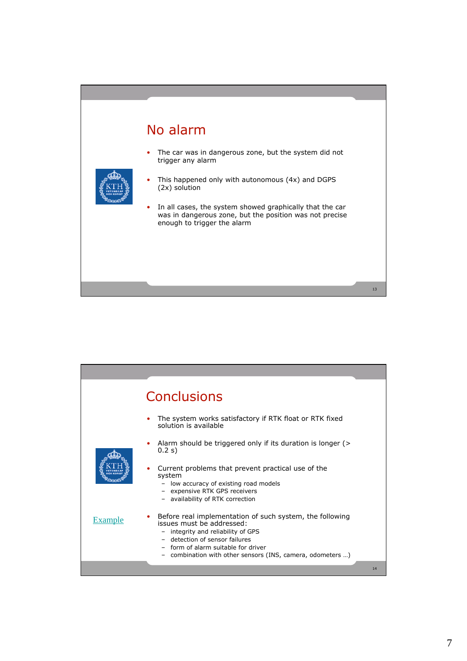## No alarm

• The car was in dangerous zone, but the system did not trigger any alarm

![](_page_6_Picture_2.jpeg)

- This happened only with autonomous (4x) and DGPS (2x) solution
- In all cases, the system showed graphically that the car was in dangerous zone, but the position was not precise enough to trigger the alarm

13

![](_page_6_Figure_5.jpeg)